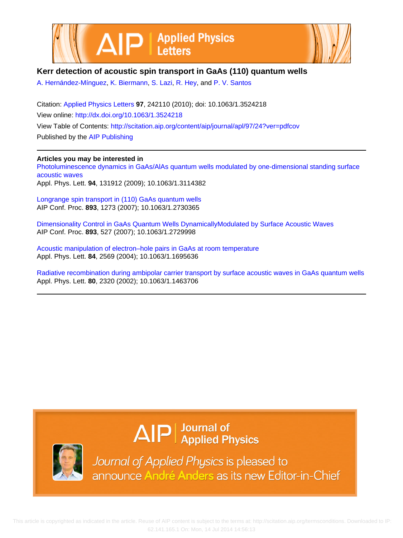



## **Kerr detection of acoustic spin transport in GaAs (110) quantum wells**

[A. Hernández-Mínguez](http://scitation.aip.org/search?value1=A.+Hern�ndez-M�nguez&option1=author), [K. Biermann,](http://scitation.aip.org/search?value1=K.+Biermann&option1=author) [S. Lazi,](http://scitation.aip.org/search?value1=S.+Lazi&option1=author) [R. Hey,](http://scitation.aip.org/search?value1=R.+Hey&option1=author) and [P. V. Santos](http://scitation.aip.org/search?value1=P.+V.+Santos&option1=author)

Citation: [Applied Physics Letters](http://scitation.aip.org/content/aip/journal/apl?ver=pdfcov) **97**, 242110 (2010); doi: 10.1063/1.3524218 View online:<http://dx.doi.org/10.1063/1.3524218> View Table of Contents:<http://scitation.aip.org/content/aip/journal/apl/97/24?ver=pdfcov> Published by the [AIP Publishing](http://scitation.aip.org/content/aip?ver=pdfcov)

## **Articles you may be interested in**

[Photoluminescence dynamics in GaAs/AlAs quantum wells modulated by one-dimensional standing surface](http://scitation.aip.org/content/aip/journal/apl/94/13/10.1063/1.3114382?ver=pdfcov) [acoustic waves](http://scitation.aip.org/content/aip/journal/apl/94/13/10.1063/1.3114382?ver=pdfcov) Appl. Phys. Lett. **94**, 131912 (2009); 10.1063/1.3114382

[Longrange spin transport in \(110\) GaAs quantum wells](http://scitation.aip.org/content/aip/proceeding/aipcp/10.1063/1.2730365?ver=pdfcov) AIP Conf. Proc. **893**, 1273 (2007); 10.1063/1.2730365

[Dimensionality Control in GaAs Quantum Wells DynamicallyModulated by Surface Acoustic Waves](http://scitation.aip.org/content/aip/proceeding/aipcp/10.1063/1.2729998?ver=pdfcov) AIP Conf. Proc. **893**, 527 (2007); 10.1063/1.2729998

[Acoustic manipulation of electron–hole pairs in GaAs at room temperature](http://scitation.aip.org/content/aip/journal/apl/84/14/10.1063/1.1695636?ver=pdfcov) Appl. Phys. Lett. **84**, 2569 (2004); 10.1063/1.1695636

[Radiative recombination during ambipolar carrier transport by surface acoustic waves in GaAs quantum wells](http://scitation.aip.org/content/aip/journal/apl/80/13/10.1063/1.1463706?ver=pdfcov) Appl. Phys. Lett. **80**, 2320 (2002); 10.1063/1.1463706



Journal of Applied Physics is pleased to announce André Anders as its new Editor-in-Chief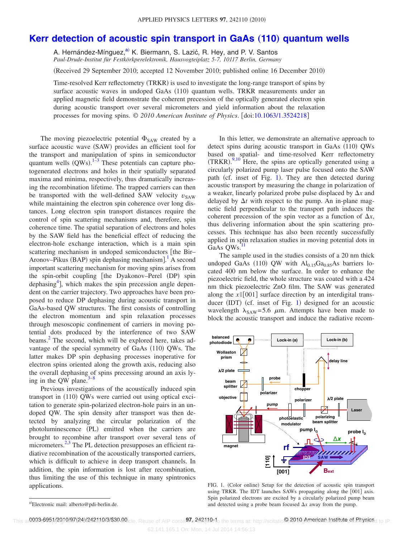## **[Kerr detection of acoustic spin transport in GaAs](http://dx.doi.org/10.1063/1.3524218) (110) quantum wells**

A. Hernández-Mínguez,<sup>a)</sup> K. Biermann, S. Lazić, R. Hey, and P. V. Santos *Paul-Drude-Institut für Festkörkperelektronik, Hausvogteiplatz 5-7, 10117 Berlin, Germany*

(Received 29 September 2010; accepted 12 November 2010; published online 16 December 2010)

Time-resolved Kerr reflectometry (TRKR) is used to investigate the long-range transport of spins by surface acoustic waves in undoped GaAs (110) quantum wells. TRKR measurements under an applied magnetic field demonstrate the coherent precession of the optically generated electron spin during acoustic transport over several micrometers and yield information about the relaxation processes for moving spins. © *2010 American Institute of Physics*. doi[:10.1063/1.3524218](http://dx.doi.org/10.1063/1.3524218)

The moving piezoelectric potential  $\Phi_{SAW}$  created by a surface acoustic wave (SAW) provides an efficient tool for the transport and manipulation of spins in semiconductor quantum wells  $(QWs).<sup>1-3</sup>$  $(QWs).<sup>1-3</sup>$  $(QWs).<sup>1-3</sup>$  These potentials can capture photogenerated electrons and holes in their spatially separated maxima and minima, respectively, thus dramatically increasing the recombination lifetime. The trapped carriers can then be transported with the well-defined SAW velocity  $v_{SAW}$ while maintaining the electron spin coherence over long distances. Long electron spin transport distances require the control of spin scattering mechanisms and, therefore, spin coherence time. The spatial separation of electrons and holes by the SAW field has the beneficial effect of reducing the electron-hole exchange interaction, which is a main spin scattering mechanism in undoped semiconductors [the Bir– Aronov–Pikus (BAP) spin dephasing mechanism].<sup>[1](#page-3-0)</sup> A second important scattering mechanism for moving spins arises from the spin-orbit coupling [the Dyakonov–Perel (DP) spin dephasing<sup>4</sup>], which makes the spin precession angle dependent on the carrier trajectory. Two approaches have been proposed to reduce DP dephasing during acoustic transport in GaAs-based QW structures. The first consists of controlling the electron momentum and spin relaxation processes through mesoscopic confinement of carriers in moving potential dots produced by the interference of two SAW beams.<sup>2</sup> The second, which will be explored here, takes advantage of the special symmetry of GaAs (110) QWs. The latter makes DP spin dephasing processes inoperative for electron spins oriented along the growth axis, reducing also the overall dephasing of spins precessing around an axis lying in the QW plane. $3$ 

Previous investigations of the acoustically induced spin transport in (110) QWs were carried out using optical excitation to generate spin-polarized electron-hole pairs in an undoped QW. The spin density after transport was then detected by analyzing the circular polarization of the photoluminescence (PL) emitted when the carriers are brought to recombine after transport over several tens of micrometers. $2,3$  $2,3$  The PL detection presupposes an efficient radiative recombination of the acoustically transported carriers, which is difficult to achieve in deep transport channels. In addition, the spin information is lost after recombination, thus limiting the use of this technique in many spintronics applications.

In this letter, we demonstrate an alternative approach to detect spins during acoustic transport in GaAs (110) QWs based on spatial- and time-resolved Kerr reflectometry  $(TRKR).<sup>9,10</sup>$  $(TRKR).<sup>9,10</sup>$  $(TRKR).<sup>9,10</sup>$  $(TRKR).<sup>9,10</sup>$  Here, the spins are optically generated using a circularly polarized pump laser pulse focused onto the SAW path (cf. inset of Fig. [1](#page-1-1)). They are then detected during acoustic transport by measuring the change in polarization of a weaker, linearly polarized probe pulse displaced by  $\Delta x$  and delayed by  $\Delta t$  with respect to the pump. An in-plane magnetic field perpendicular to the transport path induces the coherent precession of the spin vector as a function of  $\Delta x$ , thus delivering information about the spin scattering processes. This technique has also been recently successfully applied in spin relaxation studies in moving potential dots in GaAs QWs.<sup>11</sup>

The sample used in the studies consists of a 20 nm thick undoped GaAs  $(110)$  QW with  $Al_{0.15}Ga_{0.85}As$  barriers located 400 nm below the surface. In order to enhance the piezoelectric field, the whole structure was coated with a 424 nm thick piezoelectric ZnO film. The SAW was generated along the  $x \parallel [001]$  surface direction by an interdigital trans-ducer (IDT) (cf. inset of Fig. [1](#page-1-1)) designed for an acoustic wavelength  $\lambda_{SAW} = 5.6 \mu m$ . Attempts have been made to block the acoustic transport and induce the radiative recom-

<span id="page-1-1"></span>

FIG. 1. (Color online) Setup for the detection of acoustic spin transport using TRKR. The IDT launches SAWs propagating along the [001] axis. Spin polarized electrons are excited by a circularly polarized pump beam and detected using a probe beam focused  $\Delta x$  away from the pump.

<span id="page-1-0"></span>a)Electronic mail: alberto@pdi-berlin.de.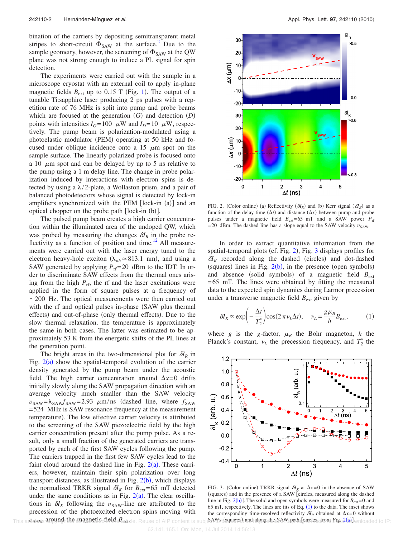bination of the carriers by depositing semitransparent metal stripes to short-circuit  $\Phi_{SAW}$  at the surface.<sup>2</sup> Due to the sample geometry, however, the screening of  $\Phi_{\text{SAW}}$  at the QW plane was not strong enough to induce a PL signal for spin detection.

The experiments were carried out with the sample in a microscope cryostat with an external coil to apply in-plane magnetic fields  $B_{ext}$  up to 0.[1](#page-1-1)5 T (Fig. 1). The output of a tunable Ti:sapphire laser producing 2 ps pulses with a repetition rate of 76 MHz is split into pump and probe beams which are focused at the generation  $(G)$  and detection  $(D)$ points with intensities  $I_G = 100 \mu W$  and  $I_D = 10 \mu W$ , respectively. The pump beam is polarization-modulated using a photoelastic modulator (PEM) operating at 50 kHz and focused under oblique incidence onto a 15  $\mu$ m spot on the sample surface. The linearly polarized probe is focused onto a 10  $\mu$ m spot and can be delayed by up to 5 ns relative to the pump using a 1 m delay line. The change in probe polarization induced by interactions with electron spins is detected by using a  $\lambda/2$ -plate, a Wollaston prism, and a pair of balanced photodetectors whose signal is detected by lock-in amplifiers synchronized with the PEM [lock-in (a)] and an optical chopper on the probe path [lock-in (b)].

The pulsed pump beam creates a high carrier concentration within the illuminated area of the undoped QW, which was probed by measuring the changes  $\delta I_R$  in the probe reflectivity as a function of position and time.<sup>12</sup> All measurements were carried out with the laser energy tuned to the electron heavy-hole exciton ( $\lambda_{hh} \approx 813.1$  nm), and using a SAW generated by applying  $P_{\text{rf}}=20$  dBm to the IDT. In order to discriminate SAW effects from the thermal ones arising from the high  $P_{\text{rf}}$ , the rf and the laser excitations were applied in the form of square pulses at a frequency of  $\sim$ 200 Hz. The optical measurements were then carried out with the rf and optical pulses in-phase (SAW plus thermal effects) and out-of-phase (only thermal effects). Due to the slow thermal relaxation, the temperature is approximately the same in both cases. The latter was estimated to be approximately 53 K from the energetic shifts of the PL lines at the generation point.

The bright areas in the two-dimensional plot for  $\delta I_R$  in Fig.  $2(a)$  $2(a)$  show the spatial-temporal evolution of the carrier density generated by the pump beam under the acoustic field. The high carrier concentration around  $\Delta x=0$  drifts initially slowly along the SAW propagation direction with an average velocity much smaller than the SAW velocity  $v_{\text{SAW}} = \lambda_{\text{SAW}} f_{\text{SAW}} = 2.93 \mu \text{m/ns}$  (dashed line, where  $f_{\text{SAW}}$ = 524 MHz is SAW resonance frequency at the measurement temperature). The low effective carrier velocity is attributed to the screening of the SAW piezoelectric field by the high carrier concentration present after the pump pulse. As a result, only a small fraction of the generated carriers are transported by each of the first SAW cycles following the pump. The carriers trapped in the first few SAW cycles lead to the faint cloud around the dashed line in Fig.  $2(a)$  $2(a)$ . These carriers, however, maintain their spin polarization over long transport distances, as illustrated in Fig.  $2(b)$  $2(b)$ , which displays the normalized TRKR signal  $\delta I_K$  for  $B_{ext}= 65$  mT detected under the same conditions as in Fig.  $2(a)$  $2(a)$ . The clear oscillations in  $\delta I_K$  following the  $v_{\text{SAW}}$ -line are attributed to the precession of the photoexcited electron spins moving with

<span id="page-2-0"></span>

FIG. 2. (Color online) (a) Reflectivity  $(\delta I_R)$  and (b) Kerr signal  $(\delta I_K)$  as a function of the delay time  $(\Delta t)$  and distance  $(\Delta x)$  between pump and probe pulses under a magnetic field  $B_{ext}= 65$  mT and a SAW power  $P_{rf}$  $= 20$  dBm. The dashed line has a slope equal to the SAW velocity  $v_{SAW}$ .

In order to extract quantitative information from the spatial-temporal plots (cf. Fig. [2](#page-2-0)), Fig. [3](#page-2-1) displays profiles for  $\delta I_K$  recorded along the dashed (circles) and dot-dashed (squares) lines in Fig.  $2(b)$  $2(b)$ , in the presence (open symbols) and absence (solid symbols) of a magnetic field  $B_{\text{ext}}$ = 65 mT. The lines were obtained by fitting the measured data to the expected spin dynamics during Larmor precession under a transverse magnetic field  $B_{ext}$  given by

<span id="page-2-2"></span>
$$
\delta I_K \propto \exp\left(-\frac{\Delta t}{T_2^*}\right)\cos(2\pi\nu_L\Delta t), \quad \nu_L = \frac{g\mu_B}{h}B_{\text{ext}},\tag{1}
$$

<span id="page-2-1"></span>where *g* is the *g*-factor,  $\mu_B$  the Bohr magneton, *h* the Planck's constant,  $\nu_L$  the precession frequency, and  $T_2^*$  the



This article ware around the magnetic field *Bexticle*. Reuse of AIP content is subject to subject to add along the SAW path (circless from Fig. 2(a) wnloaded to IP: FIG. 3. (Color online) TRKR signal  $\delta I_K$  at  $\Delta x = 0$  in the absence of SAW (squares) and in the presence of a SAW [circles, measured along the dashed line in Fig.  $2(b)$ ]. The solid and open symbols were measured for  $B<sub>ext</sub> = 0$  and 65 mT, respectively. The lines are fits of Eq.  $(1)$  $(1)$  $(1)$  to the data. The inset shows the corresponding time-resolved reflectivity  $\delta I_R$  obtained at  $\Delta x=0$  without SAWs (squares) and along the SAW path [circles, from Fig.  $2(a)$ ].